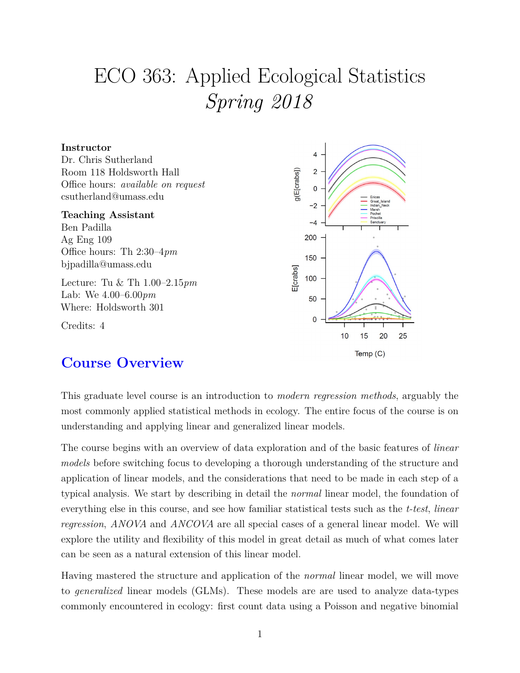# ECO 363: Applied Ecological Statistics *Spring 2018*



# **Course Overview**

This graduate level course is an introduction to *modern regression methods*, arguably the most commonly applied statistical methods in ecology. The entire focus of the course is on understanding and applying linear and generalized linear models.

The course begins with an overview of data exploration and of the basic features of *linear models* before switching focus to developing a thorough understanding of the structure and application of linear models, and the considerations that need to be made in each step of a typical analysis. We start by describing in detail the *normal* linear model, the foundation of everything else in this course, and see how familiar statistical tests such as the *t-test*, *linear regression*, *ANOVA* and *ANCOVA* are all special cases of a general linear model. We will explore the utility and flexibility of this model in great detail as much of what comes later can be seen as a natural extension of this linear model.

Having mastered the structure and application of the *normal* linear model, we will move to *generalized* linear models (GLMs). These models are are used to analyze data-types commonly encountered in ecology: first count data using a Poisson and negative binomial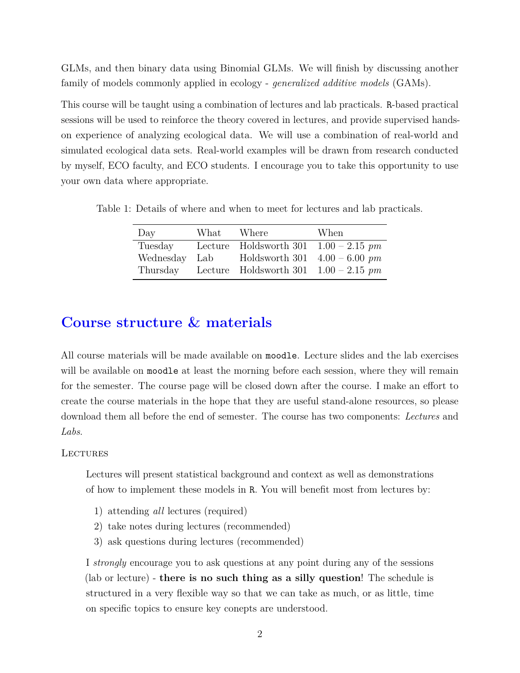GLMs, and then binary data using Binomial GLMs. We will finish by discussing another family of models commonly applied in ecology - *generalized additive models* (GAMs).

This course will be taught using a combination of lectures and lab practicals. R-based practical sessions will be used to reinforce the theory covered in lectures, and provide supervised handson experience of analyzing ecological data. We will use a combination of real-world and simulated ecological data sets. Real-world examples will be drawn from research conducted by myself, ECO faculty, and ECO students. I encourage you to take this opportunity to use your own data where appropriate.

Table 1: Details of where and when to meet for lectures and lab practicals.

| Day       | $\operatorname{What}$ | Where                                   | When |
|-----------|-----------------------|-----------------------------------------|------|
| Tuesday   |                       | Lecture Holdsworth 301 $1.00 - 2.15$ pm |      |
| Wednesday | Lab                   | Holdsworth 301 $4.00 - 6.00$ pm         |      |
| Thursday  |                       | Lecture Holdsworth 301 $1.00 - 2.15$ pm |      |

## **Course structure & materials**

All course materials will be made available on moodle. Lecture slides and the lab exercises will be available on moodle at least the morning before each session, where they will remain for the semester. The course page will be closed down after the course. I make an effort to create the course materials in the hope that they are useful stand-alone resources, so please download them all before the end of semester. The course has two components: *Lectures* and *Labs*.

**LECTURES** 

Lectures will present statistical background and context as well as demonstrations of how to implement these models in R. You will benefit most from lectures by:

- 1) attending *all* lectures (required)
- 2) take notes during lectures (recommended)
- 3) ask questions during lectures (recommended)

I *strongly* encourage you to ask questions at any point during any of the sessions (lab or lecture) - **there is no such thing as a silly question**! The schedule is structured in a very flexible way so that we can take as much, or as little, time on specific topics to ensure key conepts are understood.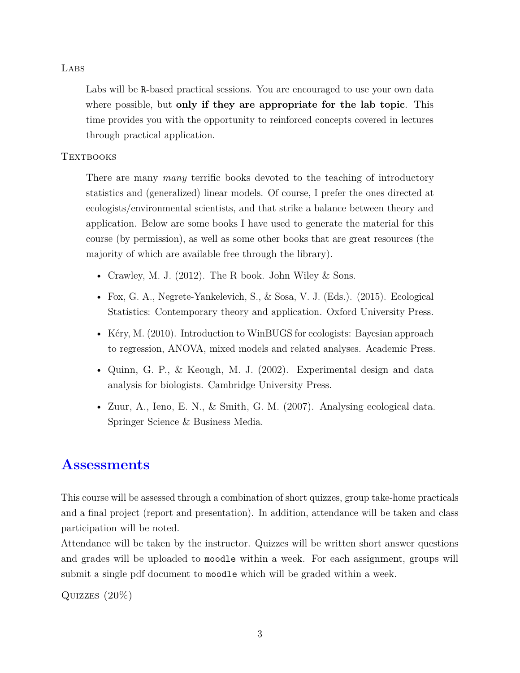#### **LABS**

Labs will be R-based practical sessions. You are encouraged to use your own data where possible, but **only if they are appropriate for the lab topic**. This time provides you with the opportunity to reinforced concepts covered in lectures through practical application.

#### **TEXTBOOKS**

There are many *many* terrific books devoted to the teaching of introductory statistics and (generalized) linear models. Of course, I prefer the ones directed at ecologists/environmental scientists, and that strike a balance between theory and application. Below are some books I have used to generate the material for this course (by permission), as well as some other books that are great resources (the majority of which are available free through the library).

- Crawley, M. J.  $(2012)$ . The R book. John Wiley & Sons.
- Fox, G. A., Negrete-Yankelevich, S., & Sosa, V. J. (Eds.). (2015). Ecological Statistics: Contemporary theory and application. Oxford University Press.
- Kéry, M. (2010). Introduction to WinBUGS for ecologists: Bayesian approach to regression, ANOVA, mixed models and related analyses. Academic Press.
- Quinn, G. P., & Keough, M. J. (2002). Experimental design and data analysis for biologists. Cambridge University Press.
- Zuur, A., Ieno, E. N., & Smith, G. M. (2007). Analysing ecological data. Springer Science & Business Media.

## **Assessments**

This course will be assessed through a combination of short quizzes, group take-home practicals and a final project (report and presentation). In addition, attendance will be taken and class participation will be noted.

Attendance will be taken by the instructor. Quizzes will be written short answer questions and grades will be uploaded to moodle within a week. For each assignment, groups will submit a single pdf document to moodle which will be graded within a week.

Quizzes (20%)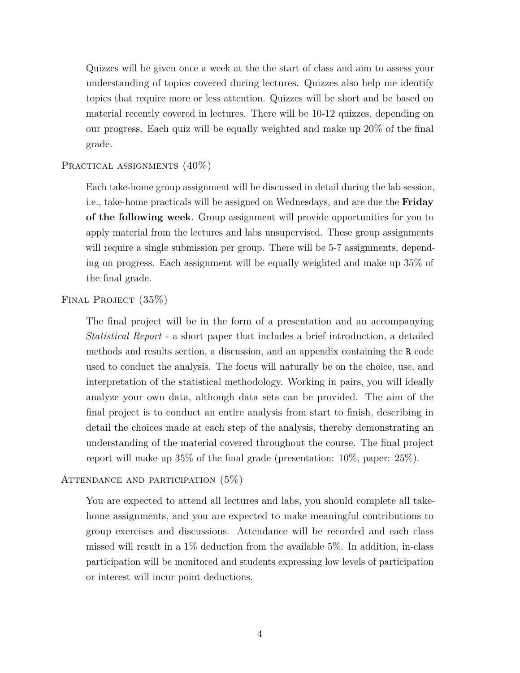Quizzes will be given once a week at the the start of class and aim to assess your understanding of topics covered during lectures. Quizzes also help me identify topics that require more or less attention. Quizzes will be short and be based on material recently covered in lectures. There will be 10-12 quizzes, depending on our progress. Each quiz will be equally weighted and make up 20% of the final grade.

#### PRACTICAL ASSIGNMENTS  $(40\%)$

Each take-home group assignment will be discussed in detail during the lab session, i.e., take-home practicals will be assigned on Wednesdays, and are due the **Friday of the following week**. Group assignment will provide opportunities for you to apply material from the lectures and labs unsupervised. These group assignments will require a single submission per group. There will be 5-7 assignments, depending on progress. Each assignment will be equally weighted and make up 35% of the final grade.

FINAL PROJECT (35%)

The final project will be in the form of a presentation and an accompanying *Statistical Report* - a short paper that includes a brief introduction, a detailed methods and results section, a discussion, and an appendix containing the R code used to conduct the analysis. The focus will naturally be on the choice, use, and interpretation of the statistical methodology. Working in pairs, you will ideally analyze your own data, although data sets can be provided. The aim of the final project is to conduct an entire analysis from start to finish, describing in detail the choices made at each step of the analysis, thereby demonstrating an understanding of the material covered throughout the course. The final project report will make up 35% of the final grade (presentation: 10%, paper: 25%).

#### ATTENDANCE AND PARTICIPATION  $(5\%)$

You are expected to attend all lectures and labs, you should complete all takehome assignments, and you are expected to make meaningful contributions to group exercises and discussions. Attendance will be recorded and each class missed will result in a 1% deduction from the available 5%. In addition, in-class participation will be monitored and students expressing low levels of participation or interest will incur point deductions.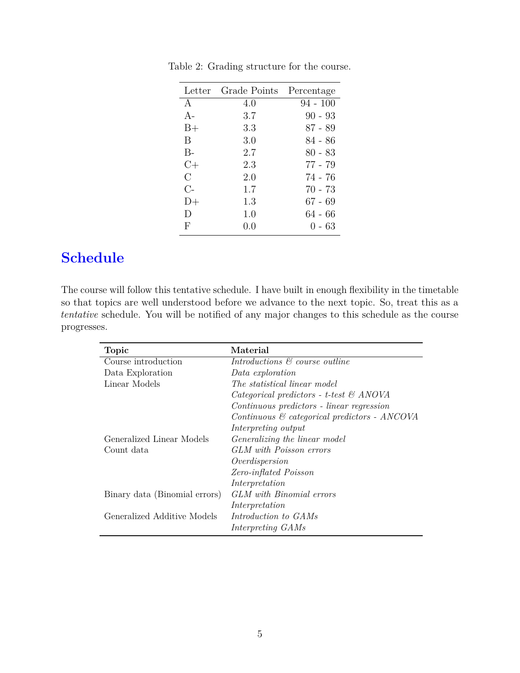|         | Letter Grade Points | Percentage |
|---------|---------------------|------------|
| A       | 4.0                 | 94 - 100   |
| $A -$   | 3.7                 | $90 - 93$  |
| $B+$    | 3.3                 | $87 - 89$  |
| B       | 3.0                 | 84 - 86    |
| $B -$   | 2.7                 | 80 - 83    |
| $C+$    | 2.3                 | 77 - 79    |
| $\rm C$ | 2.0                 | 74 - 76    |
| $C-$    | 1.7                 | 70 - 73    |
| $D+$    | 1.3                 | $67 - 69$  |
| D       | 1.0                 | 64 - 66    |
| F       | (1.0)               | 0 - 63     |

Table 2: Grading structure for the course.

# **Schedule**

The course will follow this tentative schedule. I have built in enough flexibility in the timetable so that topics are well understood before we advance to the next topic. So, treat this as a *tentative* schedule. You will be notified of any major changes to this schedule as the course progresses.

| <b>Topic</b>                  | Material                                                 |
|-------------------------------|----------------------------------------------------------|
| Course introduction           | Introductions $\mathcal{B}'$ course outline              |
| Data Exploration              | Data exploration                                         |
| Linear Models                 | The statistical linear model                             |
|                               | Categorical predictors - t-test $\mathcal{C}$ ANOVA      |
|                               | Continuous predictors - linear regression                |
|                               | Continuous $\mathcal{C}$ categorical predictors - ANCOVA |
|                               | Interpreting output                                      |
| Generalized Linear Models     | <i>Generalizing the linear model</i>                     |
| Count data                    | GLM with Poisson errors                                  |
|                               | Overdispersion                                           |
|                               | Zero-inflated Poisson                                    |
|                               | Interpretation                                           |
| Binary data (Binomial errors) | GLM with Binomial errors                                 |
|                               | Interpretation                                           |
| Generalized Additive Models   | Introduction to GAMs                                     |
|                               | Interpreting GAMs                                        |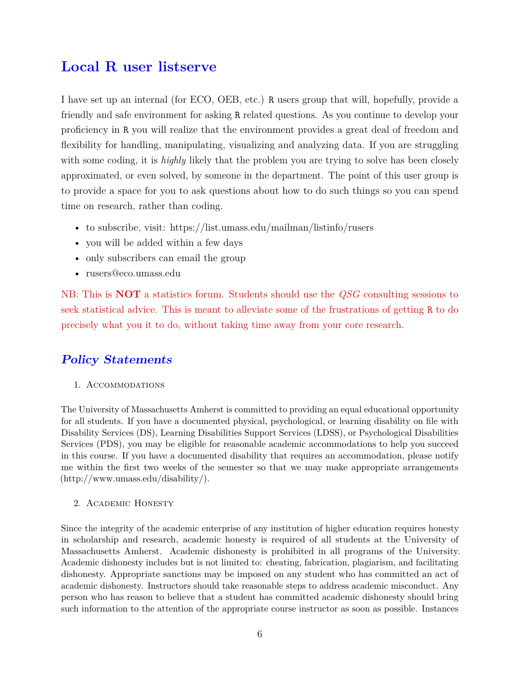# **Local R user listserve**

I have set up an internal (for ECO, OEB, etc.) R users group that will, hopefully, provide a friendly and safe environment for asking R related questions. As you continue to develop your proficiency in R you will realize that the environment provides a great deal of freedom and flexibility for handling, manipulating, visualizing and analyzing data. If you are struggling with some coding, it is *highly* likely that the problem you are trying to solve has been closely approximated, or even solved, by someone in the department. The point of this user group is to provide a space for you to ask questions about how to do such things so you can spend time on research, rather than coding.

- to subscribe, visit:<https://list.umass.edu/mailman/listinfo/rusers>
- you will be added within a few days
- only subscribers can email the group
- [rusers@eco.umass.edu](mailto:rusers@eco.umass.edu)

NB: This is **NOT** a statistics forum. Students should use the *QSG* consulting sessions to seek statistical advice. This is meant to alleviate some of the frustrations of getting R to do precisely what you it to do, without taking time away from your core research.

### **Policy Statements**

#### 1. Accommodations

The University of Massachusetts Amherst is committed to providing an equal educational opportunity for all students. If you have a documented physical, psychological, or learning disability on file with Disability Services (DS), Learning Disabilities Support Services (LDSS), or Psychological Disabilities Services (PDS), you may be eligible for reasonable academic accommodations to help you succeed in this course. If you have a documented disability that requires an accommodation, please notify me within the first two weeks of the semester so that we may make appropriate arrangements [\(http://www.umass.edu/disability/\)](http://www.umass.edu/disability/).

#### 2. Academic Honesty

Since the integrity of the academic enterprise of any institution of higher education requires honesty in scholarship and research, academic honesty is required of all students at the University of Massachusetts Amherst. Academic dishonesty is prohibited in all programs of the University. Academic dishonesty includes but is not limited to: cheating, fabrication, plagiarism, and facilitating dishonesty. Appropriate sanctions may be imposed on any student who has committed an act of academic dishonesty. Instructors should take reasonable steps to address academic misconduct. Any person who has reason to believe that a student has committed academic dishonesty should bring such information to the attention of the appropriate course instructor as soon as possible. Instances